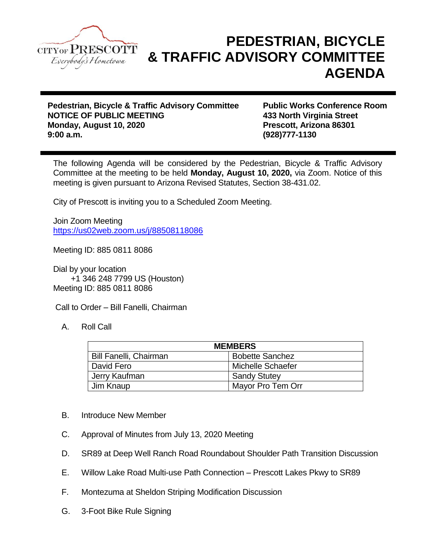

## **PEDESTRIAN, BICYCLE & TRAFFIC ADVISORY COMMITTEE AGENDA**

**Pedestrian, Bicycle & Traffic Advisory Committee Public Works Conference Room NOTICE OF PUBLIC MEETING 433 North Virginia Street Monday, August 10, 2020 Prescott, Arizona 86301 9:00 a.m. (928)777-1130**

The following Agenda will be considered by the Pedestrian, Bicycle & Traffic Advisory Committee at the meeting to be held **Monday, August 10, 2020,** via Zoom. Notice of this meeting is given pursuant to Arizona Revised Statutes, Section 38-431.02.

City of Prescott is inviting you to a Scheduled Zoom Meeting.

Join Zoom Meeting <https://us02web.zoom.us/j/88508118086>

Meeting ID: 885 0811 8086

Dial by your location +1 346 248 7799 US (Houston) Meeting ID: 885 0811 8086

Call to Order – Bill Fanelli, Chairman

A. Roll Call

| <b>MEMBERS</b>                |                        |
|-------------------------------|------------------------|
| <b>Bill Fanelli, Chairman</b> | <b>Bobette Sanchez</b> |
| l David Fero                  | Michelle Schaefer      |
| Jerry Kaufman                 | <b>Sandy Stutey</b>    |
| Jim Knaup                     | Mayor Pro Tem Orr      |

- B. Introduce New Member
- C. Approval of Minutes from July 13, 2020 Meeting
- D. SR89 at Deep Well Ranch Road Roundabout Shoulder Path Transition Discussion
- E. Willow Lake Road Multi-use Path Connection Prescott Lakes Pkwy to SR89
- F. Montezuma at Sheldon Striping Modification Discussion
- G. 3-Foot Bike Rule Signing